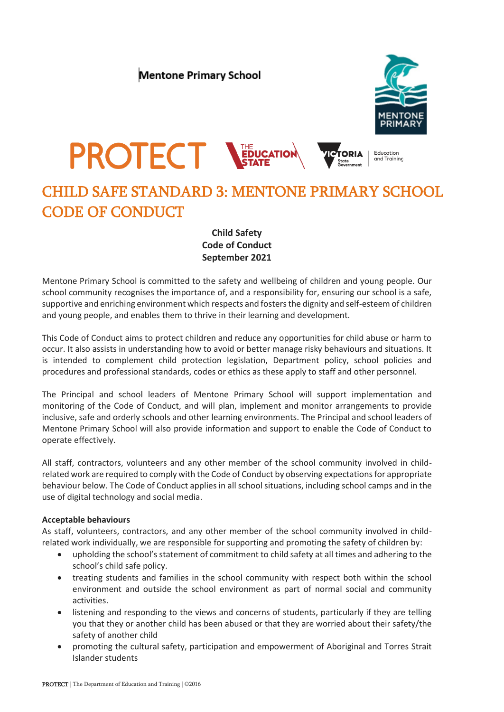



# CHILD SAFE STANDARD 3: MENTONE PRIMARY SCHOOL CODE OF CONDUCT

## **Child Safety Code of Conduct September 2021**

Mentone Primary School is committed to the safety and wellbeing of children and young people. Our school community recognises the importance of, and a responsibility for, ensuring our school is a safe, supportive and enriching environment which respects and fosters the dignity and self-esteem of children and young people, and enables them to thrive in their learning and development.

This Code of Conduct aims to protect children and reduce any opportunities for child abuse or harm to occur. It also assists in understanding how to avoid or better manage risky behaviours and situations. It is intended to complement child protection legislation, Department policy, school policies and procedures and professional standards, codes or ethics as these apply to staff and other personnel.

The Principal and school leaders of Mentone Primary School will support implementation and monitoring of the Code of Conduct, and will plan, implement and monitor arrangements to provide inclusive, safe and orderly schools and other learning environments. The Principal and school leaders of Mentone Primary School will also provide information and support to enable the Code of Conduct to operate effectively.

All staff, contractors, volunteers and any other member of the school community involved in childrelated work are required to comply with the Code of Conduct by observing expectations for appropriate behaviour below. The Code of Conduct applies in all school situations, including school camps and in the use of digital technology and social media.

### **Acceptable behaviours**

As staff, volunteers, contractors, and any other member of the school community involved in childrelated work individually, we are responsible for supporting and promoting the safety of children by:

- upholding the school's statement of commitment to child safety at all times and adhering to the school's child safe policy.
- treating students and families in the school community with respect both within the school environment and outside the school environment as part of normal social and community activities.
- listening and responding to the views and concerns of students, particularly if they are telling you that they or another child has been abused or that they are worried about their safety/the safety of another child
- promoting the cultural safety, participation and empowerment of Aboriginal and Torres Strait Islander students